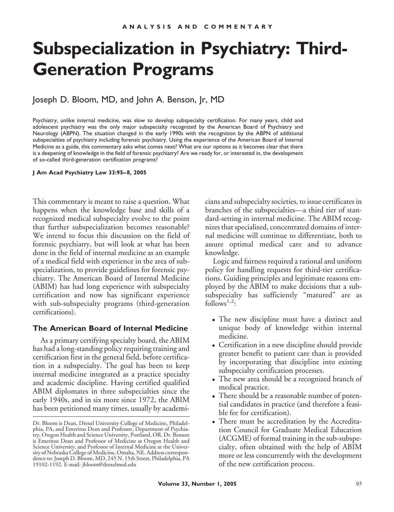# **Subspecialization in Psychiatry: Third-Generation Programs**

## Joseph D. Bloom, MD, and John A. Benson, Jr, MD

Psychiatry, unlike internal medicine, was slow to develop subspecialty certification. For many years, child and adolescent psychiatry was the only major subspecialty recognized by the American Board of Psychiatry and Neurology (ABPN). The situation changed in the early 1990s with the recognition by the ABPN of additional subspecialties of psychiatry including forensic psychiatry. Using the experience of the American Board of Internal Medicine as a guide, this commentary asks what comes next? What are our options as it becomes clear that there is a deepening of knowledge in the field of forensic psychiatry? Are we ready for, or interested in, the development of so-called third-generation certification programs?

#### **J Am Acad Psychiatry Law 33:95– 8, 2005**

This commentary is meant to raise a question. What happens when the knowledge base and skills of a recognized medical subspecialty evolve to the point that further subspecialization becomes reasonable? We intend to focus this discussion on the field of forensic psychiatry, but will look at what has been done in the field of internal medicine as an example of a medical field with experience in the area of subspecialization, to provide guidelines for forensic psychiatry. The American Board of Internal Medicine (ABIM) has had long experience with subspecialty certification and now has significant experience with sub-subspecialty programs (third-generation certifications).

### **The American Board of Internal Medicine**

As a primary certifying specialty board, the ABIM has had a long-standing policy requiring training and certification first in the general field, before certification in a subspecialty. The goal has been to keep internal medicine integrated as a practice specialty and academic discipline. Having certified qualified ABIM diplomates in three subspecialties since the early 1940s, and in six more since 1972, the ABIM has been petitioned many times, usually by academicians and subspecialty societies, to issue certificates in branches of the subspecialties—a third tier of standard-setting in internal medicine. The ABIM recognizes that specialized, concentrated domains of internal medicine will continue to differentiate, both to assure optimal medical care and to advance knowledge.

Logic and fairness required a rational and uniform policy for handling requests for third-tier certifications. Guiding principles and legitimate reasons employed by the ABIM to make decisions that a subsubspecialty has sufficiently "matured" are as  $follows<sup>1,2</sup>$ :

- The new discipline must have a distinct and unique body of knowledge within internal medicine.
- Certification in a new discipline should provide greater benefit to patient care than is provided by incorporating that discipline into existing subspecialty certification processes.
- The new area should be a recognized branch of medical practice.
- There should be a reasonable number of potential candidates in practice (and therefore a feasible fee for certification).
- There must be accreditation by the Accreditation Council for Graduate Medical Education (ACGME) of formal training in the sub-subspecialty, often obtained with the help of ABIM more or less concurrently with the development of the new certification process.

Dr. Bloom is Dean, Drexel University College of Medicine, Philadelphia, PA, and Emeritus Dean and Professor, Department of Psychiatry, Oregon Health and Science University, Portland, OR. Dr. Benson is Emeritus Dean and Professor of Medicine at Oregon Health and Science University, and Professor of Internal Medicine at the University of Nebraska College of Medicine, Omaha, NE. Address correspondence to: Joseph D. Bloom, MD, 245 N. 15th Street, Philadelphia, PA 19102-1192. E-mail: jbloom@drexelmed.edu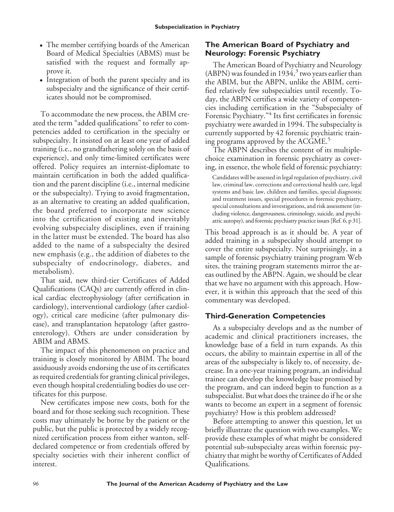- The member certifying boards of the American Board of Medical Specialties (ABMS) must be satisfied with the request and formally approve it.
- Integration of both the parent specialty and its subspecialty and the significance of their certificates should not be compromised.

To accommodate the new process, the ABIM created the term "added qualifications" to refer to competencies added to certification in the specialty or subspecialty. It insisted on at least one year of added training (i.e., no grandfathering solely on the basis of experience), and only time-limited certificates were offered. Policy requires an internist-diplomate to maintain certification in both the added qualification and the parent discipline (i.e., internal medicine or the subspecialty). Trying to avoid fragmentation, as an alternative to creating an added qualification, the board preferred to incorporate new science into the certification of existing and inevitably evolving subspecialty disciplines, even if training in the latter must be extended. The board has also added to the name of a subspecialty the desired new emphasis (e.g., the addition of diabetes to the subspecialty of endocrinology, diabetes, and metabolism).

That said, new third-tier Certificates of Added Qualifications (CAQs) are currently offered in clinical cardiac electrophysiology (after certification in cardiology), interventional cardiology (after cardiology), critical care medicine (after pulmonary disease), and transplantation hepatology (after gastroenterology). Others are under consideration by ABIM and ABMS.

The impact of this phenomenon on practice and training is closely monitored by ABIM. The board assiduously avoids endorsing the use of its certificates as required credentials for granting clinical privileges, even though hospital credentialing bodies do use certificates for this purpose.

New certificates impose new costs, both for the board and for those seeking such recognition. These costs may ultimately be borne by the patient or the public, but the public is protected by a widely recognized certification process from either wanton, selfdeclared competence or from credentials offered by specialty societies with their inherent conflict of interest.

# **The American Board of Psychiatry and Neurology: Forensic Psychiatry**

The American Board of Psychiatry and Neurology (ABPN) was founded in  $1934<sup>3</sup>$  two years earlier than the ABIM, but the ABPN, unlike the ABIM, certified relatively few subspecialties until recently. Today, the ABPN certifies a wide variety of competencies including certification in the "Subspecialty of Forensic Psychiatry."<sup>4</sup> Its first certificates in forensic psychiatry were awarded in 1994. The subspecialty is currently supported by 42 forensic psychiatric training programs approved by the ACGME.<sup>5</sup>

The ABPN describes the content of its multiplechoice examination in forensic psychiatry as covering, in essence, the whole field of forensic psychiatry:

Candidates will be assessed in legal regulation of psychiatry, civil law, criminal law, corrections and correctional health care, legal systems and basic law, children and families, special diagnostic and treatment issues, special procedures in forensic psychiatry, special consultations and investigations, and risk assessment (including violence, dangerousness, criminology, suicide, and psychiatric autopsy), and forensic psychiatry practice issues [Ref. 6, p 31].

This broad approach is as it should be. A year of added training in a subspecialty should attempt to cover the entire subspecialty. Not surprisingly, in a sample of forensic psychiatry training program Web sites, the training program statements mirror the areas outlined by the ABPN. Again, we should be clear that we have no argument with this approach. However, it is within this approach that the seed of this commentary was developed.

# **Third-Generation Competencies**

As a subspecialty develops and as the number of academic and clinical practitioners increases, the knowledge base of a field in turn expands. As this occurs, the ability to maintain expertise in all of the areas of the subspecialty is likely to, of necessity, decrease. In a one-year training program, an individual trainee can develop the knowledge base promised by the program, and can indeed begin to function as a subspecialist. But what does the trainee do if he or she wants to become an expert in a segment of forensic psychiatry? How is this problem addressed?

Before attempting to answer this question, let us briefly illustrate the question with two examples. We provide these examples of what might be considered potential sub-subspecialty areas within forensic psychiatry that might be worthy of Certificates of Added Qualifications.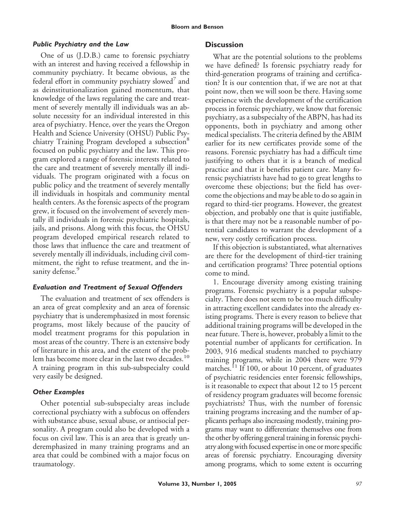## *Public Psychiatry and the Law*

One of us (J.D.B.) came to forensic psychiatry with an interest and having received a fellowship in community psychiatry. It became obvious, as the federal effort in community psychiatry slowed<sup>/</sup> and as deinstitutionalization gained momentum, that knowledge of the laws regulating the care and treatment of severely mentally ill individuals was an absolute necessity for an individual interested in this area of psychiatry. Hence, over the years the Oregon Health and Science University (OHSU) Public Psychiatry Training Program developed a subsection<sup>8</sup> focused on public psychiatry and the law. This program explored a range of forensic interests related to the care and treatment of severely mentally ill individuals. The program originated with a focus on public policy and the treatment of severely mentally ill individuals in hospitals and community mental health centers. As the forensic aspects of the program grew, it focused on the involvement of severely mentally ill individuals in forensic psychiatric hospitals, jails, and prisons. Along with this focus, the OHSU program developed empirical research related to those laws that influence the care and treatment of severely mentally ill individuals, including civil commitment, the right to refuse treatment, and the insanity defense.<sup>9</sup>

## *Evaluation and Treatment of Sexual Offenders*

The evaluation and treatment of sex offenders is an area of great complexity and an area of forensic psychiatry that is underemphasized in most forensic programs, most likely because of the paucity of model treatment programs for this population in most areas of the country. There is an extensive body of literature in this area, and the extent of the problem has become more clear in the last two decades.<sup>10</sup> A training program in this sub-subspecialty could very easily be designed.

## *Other Examples*

Other potential sub-subspecialty areas include correctional psychiatry with a subfocus on offenders with substance abuse, sexual abuse, or antisocial personality. A program could also be developed with a focus on civil law. This is an area that is greatly underemphasized in many training programs and an area that could be combined with a major focus on traumatology.

## **Discussion**

What are the potential solutions to the problems we have defined? Is forensic psychiatry ready for third-generation programs of training and certification? It is our contention that, if we are not at that point now, then we will soon be there. Having some experience with the development of the certification process in forensic psychiatry, we know that forensic psychiatry, as a subspecialty of the ABPN, has had its opponents, both in psychiatry and among other medical specialists. The criteria defined by the ABIM earlier for its new certificates provide some of the reasons. Forensic psychiatry has had a difficult time justifying to others that it is a branch of medical practice and that it benefits patient care. Many forensic psychiatrists have had to go to great lengths to overcome these objections; but the field has overcome the objections and may be able to do so again in regard to third-tier programs. However, the greatest objection, and probably one that is quite justifiable, is that there may not be a reasonable number of potential candidates to warrant the development of a new, very costly certification process.

If this objection is substantiated, what alternatives are there for the development of third-tier training and certification programs? Three potential options come to mind.

1. Encourage diversity among existing training programs. Forensic psychiatry is a popular subspecialty. There does not seem to be too much difficulty in attracting excellent candidates into the already existing programs. There is every reason to believe that additional training programs will be developed in the near future. There is, however, probably a limit to the potential number of applicants for certification. In 2003, 916 medical students matched to psychiatry training programs, while in 2004 there were 979 matches.<sup>11</sup> If 100, or about 10 percent, of graduates of psychiatric residencies enter forensic fellowships, is it reasonable to expect that about 12 to 15 percent of residency program graduates will become forensic psychiatrists? Thus, with the number of forensic training programs increasing and the number of applicants perhaps also increasing modestly, training programs may want to differentiate themselves one from the other by offering general training in forensic psychiatry along with focused expertise in one or more specific areas of forensic psychiatry. Encouraging diversity among programs, which to some extent is occurring